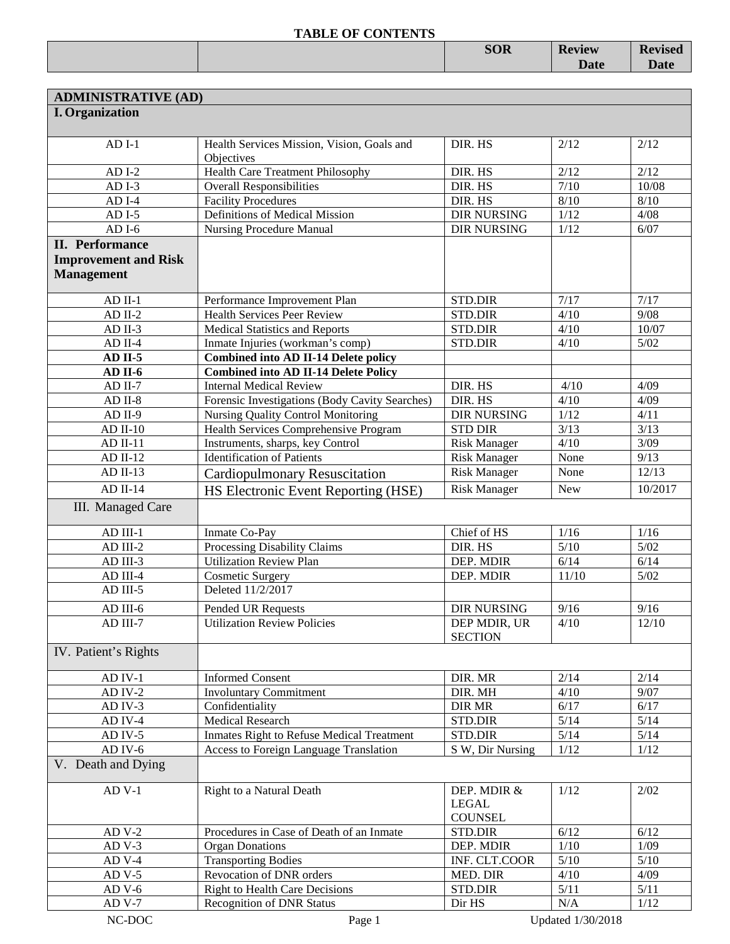|  | <b>SOR</b> | <b>Review</b> | <b>Revised</b>                |
|--|------------|---------------|-------------------------------|
|  |            | <b>Date</b>   | $\mathbf{D}_{\alpha}$<br>υαιτ |
|  |            |               |                               |

| <b>ADMINISTRATIVE (AD)</b>  |                                                          |                     |            |         |
|-----------------------------|----------------------------------------------------------|---------------------|------------|---------|
| <b>I.</b> Organization      |                                                          |                     |            |         |
|                             |                                                          |                     |            |         |
| $ADI-1$                     | Health Services Mission, Vision, Goals and<br>Objectives | DIR. HS             | 2/12       | 2/12    |
| $ADI-2$                     | <b>Health Care Treatment Philosophy</b>                  | DIR. HS             | 2/12       | 2/12    |
| $ADI-3$                     | <b>Overall Responsibilities</b>                          | DIR. HS             | 7/10       | 10/08   |
| $ADI-4$                     | <b>Facility Procedures</b>                               | DIR. HS             | 8/10       | $8/10$  |
| $ADI-5$                     | Definitions of Medical Mission                           | <b>DIR NURSING</b>  | 1/12       | 4/08    |
| $ADI-6$                     | <b>Nursing Procedure Manual</b>                          | <b>DIR NURSING</b>  | $1/12$     | 6/07    |
| <b>II.</b> Performance      |                                                          |                     |            |         |
| <b>Improvement and Risk</b> |                                                          |                     |            |         |
| <b>Management</b>           |                                                          |                     |            |         |
|                             |                                                          |                     |            |         |
| $AD$ II-1                   | Performance Improvement Plan                             | STD.DIR             | 7/17       | 7/17    |
| $AD$ II-2                   | <b>Health Services Peer Review</b>                       | <b>STD.DIR</b>      | 4/10       | 9/08    |
| $AD$ II-3                   | <b>Medical Statistics and Reports</b>                    | STD.DIR             | 4/10       | 10/07   |
| $AD$ II-4                   | Inmate Injuries (workman's comp)                         | <b>STD.DIR</b>      | 4/10       | $5/02$  |
| $AD$ II-5                   | <b>Combined into AD II-14 Delete policy</b>              |                     |            |         |
| AD II-6                     | <b>Combined into AD II-14 Delete Policy</b>              |                     |            |         |
| $AD$ II-7                   | <b>Internal Medical Review</b>                           | DIR. HS             | 4/10       | 4/09    |
| $AD II-8$                   | Forensic Investigations (Body Cavity Searches)           | DIR. HS             | 4/10       | 4/09    |
| $AD II-9$                   | Nursing Quality Control Monitoring                       | <b>DIR NURSING</b>  | 1/12       | 4/11    |
| $AD$ II-10                  | Health Services Comprehensive Program                    | <b>STD DIR</b>      | 3/13       | 3/13    |
| $AD II-11$                  | Instruments, sharps, key Control                         | <b>Risk Manager</b> | 4/10       | 3/09    |
| $AD II-12$                  | <b>Identification of Patients</b>                        | <b>Risk Manager</b> | None       | 9/13    |
| $AD II-13$                  | <b>Cardiopulmonary Resuscitation</b>                     | <b>Risk Manager</b> | None       | 12/13   |
| $AD II-14$                  | HS Electronic Event Reporting (HSE)                      | <b>Risk Manager</b> | <b>New</b> | 10/2017 |
| III. Managed Care           |                                                          |                     |            |         |
|                             |                                                          |                     |            |         |
| $AD$ III-1                  | Inmate Co-Pay                                            | Chief of HS         | 1/16       | 1/16    |
| AD III-2                    | Processing Disability Claims                             | DIR. HS             | 5/10       | $5/02$  |
| AD III-3                    | <b>Utilization Review Plan</b>                           | DEP. MDIR           | 6/14       | 6/14    |
| AD III-4                    | <b>Cosmetic Surgery</b>                                  | DEP. MDIR           | 11/10      | $5/02$  |
| AD III-5                    | Deleted 11/2/2017                                        |                     |            |         |
| AD III-6                    | Pended UR Requests                                       | <b>DIR NURSING</b>  | 9/16       | 9/16    |
| AD III-7                    | <b>Utilization Review Policies</b>                       | DEP MDIR, UR        | 4/10       | 12/10   |
|                             |                                                          | <b>SECTION</b>      |            |         |
| IV. Patient's Rights        |                                                          |                     |            |         |
|                             |                                                          |                     |            |         |
| $AD$ IV-1                   | <b>Informed Consent</b>                                  | DIR. MR             | 2/14       | 2/14    |
| $AD IV-2$                   | <b>Involuntary Commitment</b>                            | DIR. MH             | 4/10       | 9/07    |
| AD IV-3                     | Confidentiality                                          | <b>DIR MR</b>       | 6/17       | 6/17    |
| AD IV-4                     | <b>Medical Research</b>                                  | STD.DIR             | $5/14$     | $5/14$  |
| AD IV-5                     | Inmates Right to Refuse Medical Treatment                | STD.DIR             | $5/14$     | $5/14$  |
| $AD$ IV- $6$                | <b>Access to Foreign Language Translation</b>            | S W, Dir Nursing    | 1/12       | 1/12    |
| V. Death and Dying          |                                                          |                     |            |         |
| $AD$ V-1                    | Right to a Natural Death                                 | DEP. MDIR &         | 1/12       | 2/02    |
|                             |                                                          | <b>LEGAL</b>        |            |         |
|                             |                                                          | <b>COUNSEL</b>      |            |         |
| $ADV-2$                     | Procedures in Case of Death of an Inmate                 | STD.DIR             | 6/12       | 6/12    |
| $ADV-3$                     | <b>Organ Donations</b>                                   | DEP. MDIR           | 1/10       | 1/09    |
| $ADV-4$                     | <b>Transporting Bodies</b>                               | INF. CLT.COOR       | 5/10       | $5/10$  |
| $ADV-5$                     | Revocation of DNR orders                                 | MED. DIR            | 4/10       | 4/09    |
| $ADV-6$                     | <b>Right to Health Care Decisions</b>                    | STD.DIR             | 5/11       | 5/11    |
| $ADV-7$                     | <b>Recognition of DNR Status</b>                         | Dir HS              | N/A        | $1/12$  |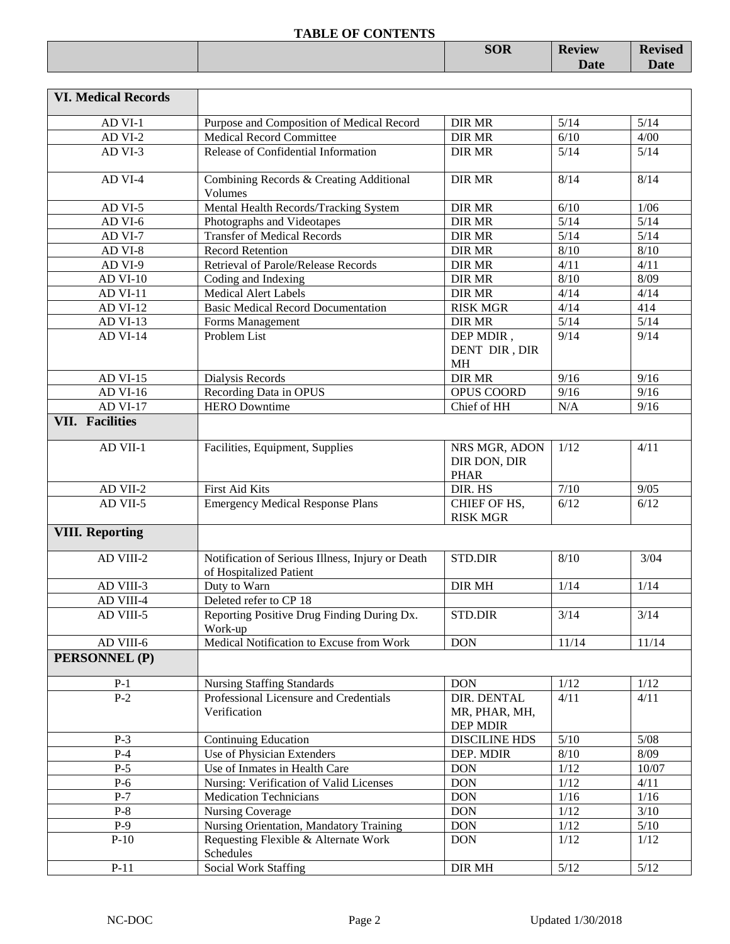|  | <b>SOR</b> | <b>Review</b> | <b>Revised</b> |
|--|------------|---------------|----------------|
|  |            | <b>Date</b>   | <b>Date</b>    |
|  |            |               |                |

| <b>VI. Medical Records</b> |                                                                             |                                              |        |        |
|----------------------------|-----------------------------------------------------------------------------|----------------------------------------------|--------|--------|
| AD VI-1                    | Purpose and Composition of Medical Record                                   | <b>DIR MR</b>                                | 5/14   | 5/14   |
| AD VI-2                    | <b>Medical Record Committee</b>                                             | <b>DIR MR</b>                                | 6/10   | 4/00   |
| AD VI-3                    | Release of Confidential Information                                         | <b>DIR MR</b>                                | 5/14   | $5/14$ |
| AD VI-4                    | Combining Records & Creating Additional<br>Volumes                          | <b>DIR MR</b>                                | 8/14   | 8/14   |
| AD VI-5                    | Mental Health Records/Tracking System                                       | <b>DIR MR</b>                                | 6/10   | 1/06   |
| AD VI-6                    | Photographs and Videotapes                                                  | <b>DIR MR</b>                                | 5/14   | $5/14$ |
| AD VI-7                    | <b>Transfer of Medical Records</b>                                          | <b>DIR MR</b>                                | 5/14   | $5/14$ |
| AD VI-8                    | <b>Record Retention</b>                                                     | <b>DIR MR</b>                                | 8/10   | 8/10   |
| AD VI-9                    | Retrieval of Parole/Release Records                                         | <b>DIR MR</b>                                | 4/11   | 4/11   |
| <b>AD VI-10</b>            | Coding and Indexing                                                         | <b>DIR MR</b>                                | 8/10   | 8/09   |
| AD VI-11                   | <b>Medical Alert Labels</b>                                                 | <b>DIR MR</b>                                | 4/14   | 4/14   |
| <b>AD VI-12</b>            | <b>Basic Medical Record Documentation</b>                                   | <b>RISK MGR</b>                              | 4/14   | 414    |
| AD VI-13                   | Forms Management                                                            | <b>DIR MR</b>                                | 5/14   | $5/14$ |
| <b>AD VI-14</b>            | Problem List                                                                | DEP MDIR,                                    | 9/14   | 9/14   |
|                            |                                                                             | DENT DIR, DIR                                |        |        |
|                            |                                                                             | <b>MH</b>                                    |        |        |
| <b>AD VI-15</b>            | Dialysis Records                                                            | <b>DIR MR</b>                                | 9/16   | 9/16   |
| <b>AD VI-16</b>            | Recording Data in OPUS                                                      | OPUS COORD                                   | 9/16   | 9/16   |
| <b>AD VI-17</b>            | <b>HERO</b> Downtime                                                        | Chief of HH                                  | N/A    | 9/16   |
| <b>VII. Facilities</b>     |                                                                             |                                              |        |        |
| AD VII-1                   | Facilities, Equipment, Supplies                                             | NRS MGR, ADON<br>DIR DON, DIR<br><b>PHAR</b> | 1/12   | 4/11   |
| AD VII-2                   | First Aid Kits                                                              | DIR. HS                                      | $7/10$ | 9/05   |
| AD VII-5                   | <b>Emergency Medical Response Plans</b>                                     | CHIEF OF HS,<br><b>RISK MGR</b>              | 6/12   | 6/12   |
| <b>VIII. Reporting</b>     |                                                                             |                                              |        |        |
| AD VIII-2                  | Notification of Serious Illness, Injury or Death<br>of Hospitalized Patient | STD.DIR                                      | 8/10   | 3/04   |
| AD VIII-3                  | Duty to Warn                                                                | <b>DIR MH</b>                                | 1/14   | 1/14   |
| AD VIII-4                  | Deleted refer to CP 18                                                      |                                              |        |        |
| AD VIII-5                  | Reporting Positive Drug Finding During Dx.<br>Work-up                       | STD.DIR                                      | 3/14   | 3/14   |
| AD VIII-6                  | Medical Notification to Excuse from Work                                    | <b>DON</b>                                   | 11/14  | 11/14  |
| PERSONNEL (P)              |                                                                             |                                              |        |        |
| $P-1$                      | <b>Nursing Staffing Standards</b>                                           | <b>DON</b>                                   | 1/12   | $1/12$ |
| $P-2$                      | Professional Licensure and Credentials                                      | DIR. DENTAL                                  | 4/11   | 4/11   |
|                            | Verification                                                                | MR, PHAR, MH,                                |        |        |
| $P-3$                      | <b>Continuing Education</b>                                                 | DEP MDIR<br><b>DISCILINE HDS</b>             | $5/10$ | $5/08$ |
| $P-4$                      | Use of Physician Extenders                                                  | DEP. MDIR                                    | $8/10$ | 8/09   |
| $P-5$                      | Use of Inmates in Health Care                                               | <b>DON</b>                                   | 1/12   | 10/07  |
| $P-6$                      | Nursing: Verification of Valid Licenses                                     | <b>DON</b>                                   | 1/12   | 4/11   |
| $P-7$                      | <b>Medication Technicians</b>                                               | <b>DON</b>                                   | 1/16   | $1/16$ |
| $P-8$                      | <b>Nursing Coverage</b>                                                     | <b>DON</b>                                   | 1/12   | $3/10$ |
| $P-9$                      | Nursing Orientation, Mandatory Training                                     | <b>DON</b>                                   | $1/12$ | $5/10$ |
| $P-10$                     | Requesting Flexible & Alternate Work                                        | <b>DON</b>                                   | 1/12   | 1/12   |
|                            | Schedules                                                                   |                                              |        |        |
| $P-11$                     | Social Work Staffing                                                        | DIR MH                                       | $5/12$ | $5/12$ |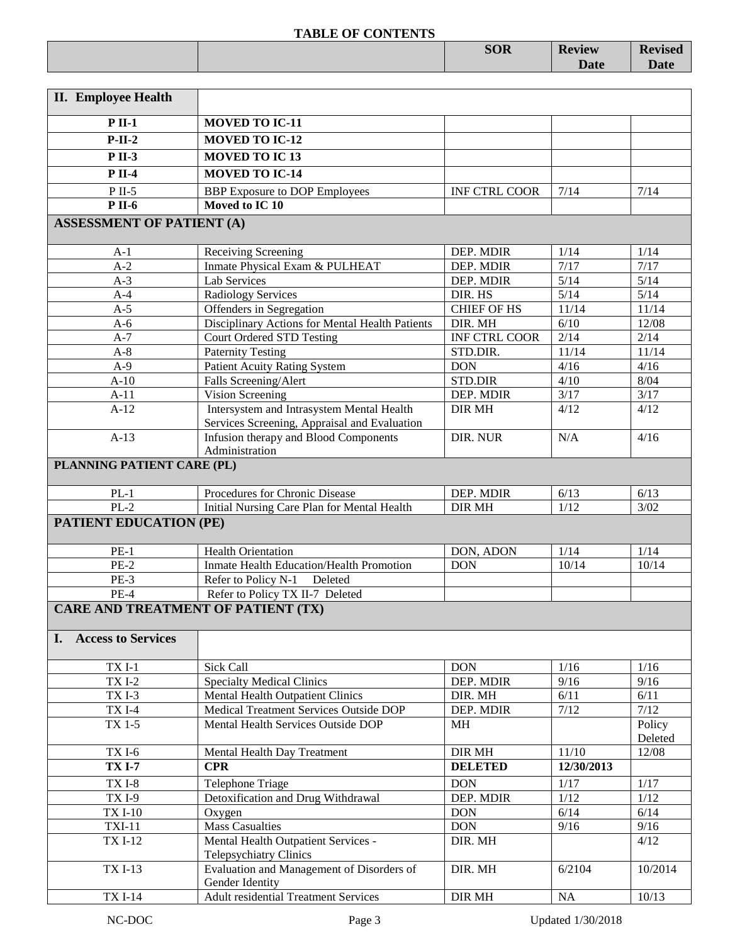|                                                                     | <b>SOR</b> | <b>Review</b><br><b>Date</b> | <b>Revised</b><br><b>Date</b> |
|---------------------------------------------------------------------|------------|------------------------------|-------------------------------|
| $\mathbf{r}$<br>$\mathbf{v}$ $\mathbf{v}$ $\mathbf{v}$ $\mathbf{v}$ |            |                              |                               |

| <b>II.</b> Employee Health                |                                                                                           |                      |            |         |
|-------------------------------------------|-------------------------------------------------------------------------------------------|----------------------|------------|---------|
| $P$ II-1                                  | <b>MOVED TO IC-11</b>                                                                     |                      |            |         |
| $P-II-2$                                  | <b>MOVED TO IC-12</b>                                                                     |                      |            |         |
| $P II-3$                                  | <b>MOVED TO IC13</b>                                                                      |                      |            |         |
| $P$ II-4                                  | <b>MOVED TO IC-14</b>                                                                     |                      |            |         |
|                                           |                                                                                           |                      |            |         |
| $P$ II-5<br><b>P</b> II-6                 | <b>BBP</b> Exposure to DOP Employees<br>Moved to IC 10                                    | <b>INF CTRL COOR</b> | 7/14       | 7/14    |
|                                           |                                                                                           |                      |            |         |
| <b>ASSESSMENT OF PATIENT (A)</b>          |                                                                                           |                      |            |         |
| $A-1$                                     | Receiving Screening                                                                       | DEP. MDIR            | 1/14       | 1/14    |
| $A-2$                                     | Inmate Physical Exam & PULHEAT                                                            | DEP. MDIR            | 7/17       | 7/17    |
| $A-3$                                     | Lab Services                                                                              | DEP. MDIR            | 5/14       | $5/14$  |
| $A-4$                                     | <b>Radiology Services</b>                                                                 | DIR. HS              | 5/14       | 5/14    |
| $A-5$                                     | Offenders in Segregation                                                                  | <b>CHIEF OF HS</b>   | 11/14      | 11/14   |
| $A-6$                                     | Disciplinary Actions for Mental Health Patients                                           | DIR. MH              | 6/10       | 12/08   |
| $A-7$                                     | <b>Court Ordered STD Testing</b>                                                          | <b>INF CTRL COOR</b> | 2/14       | 2/14    |
| $A-8$                                     | <b>Paternity Testing</b>                                                                  | STD.DIR.             | 11/14      | 11/14   |
| $A-9$                                     | <b>Patient Acuity Rating System</b>                                                       | <b>DON</b>           | 4/16       | 4/16    |
| $A-10$                                    | Falls Screening/Alert                                                                     | <b>STD.DIR</b>       | 4/10       | 8/04    |
| $A-11$                                    | Vision Screening                                                                          | DEP. MDIR            | 3/17       | 3/17    |
| $A-12$                                    | Intersystem and Intrasystem Mental Health<br>Services Screening, Appraisal and Evaluation | DIR MH               | 4/12       | 4/12    |
| $A-13$                                    | Infusion therapy and Blood Components                                                     | DIR. NUR             | N/A        | 4/16    |
|                                           | Administration                                                                            |                      |            |         |
| PLANNING PATIENT CARE (PL)                |                                                                                           |                      |            |         |
| $PL-1$                                    | Procedures for Chronic Disease                                                            | DEP. MDIR            | 6/13       | 6/13    |
| $PL-2$                                    | Initial Nursing Care Plan for Mental Health                                               | <b>DIR MH</b>        | 1/12       | 3/02    |
| <b>PATIENT EDUCATION (PE)</b>             |                                                                                           |                      |            |         |
| $PE-1$                                    | <b>Health Orientation</b>                                                                 | DON, ADON            | 1/14       | 1/14    |
| $PE-2$                                    | Inmate Health Education/Health Promotion                                                  | <b>DON</b>           | 10/14      | 10/14   |
| $PE-3$                                    | Refer to Policy N-1<br>Deleted                                                            |                      |            |         |
| $PE-4$                                    | Refer to Policy TX II-7 Deleted                                                           |                      |            |         |
| <b>CARE AND TREATMENT OF PATIENT (TX)</b> |                                                                                           |                      |            |         |
|                                           |                                                                                           |                      |            |         |
| I. Access to Services                     |                                                                                           |                      |            |         |
| $TXI-1$                                   | Sick Call                                                                                 | <b>DON</b>           | 1/16       | 1/16    |
| <b>TXI-2</b>                              | <b>Specialty Medical Clinics</b>                                                          | DEP. MDIR            | 9/16       | 9/16    |
| TXI-3                                     | Mental Health Outpatient Clinics                                                          | DIR. MH              | 6/11       | 6/11    |
| TX I-4                                    | Medical Treatment Services Outside DOP                                                    | DEP. MDIR            | 7/12       | 7/12    |
| TX 1-5                                    | Mental Health Services Outside DOP                                                        | МH                   |            | Policy  |
|                                           |                                                                                           |                      |            | Deleted |
| <b>TXI-6</b>                              | Mental Health Day Treatment                                                               | DIR MH               | 11/10      | 12/08   |
| <b>TX I-7</b>                             | <b>CPR</b>                                                                                | <b>DELETED</b>       | 12/30/2013 |         |
| $TXI-8$                                   | Telephone Triage                                                                          | DON                  | 1/17       | 1/17    |
| $TXI-9$                                   | Detoxification and Drug Withdrawal                                                        | DEP. MDIR            | $1/12$     | 1/12    |
| <b>TXI-10</b>                             | Oxygen                                                                                    | <b>DON</b>           | 6/14       | 6/14    |
| $TXI-11$                                  | <b>Mass Casualties</b>                                                                    | <b>DON</b>           | 9/16       | 9/16    |
| <b>TXI-12</b>                             | Mental Health Outpatient Services -<br><b>Telepsychiatry Clinics</b>                      | DIR. MH              |            | 4/12    |
| <b>TXI-13</b>                             | Evaluation and Management of Disorders of                                                 | DIR. MH              | 6/2104     | 10/2014 |
|                                           | Gender Identity                                                                           |                      |            |         |
| <b>TXI-14</b>                             | <b>Adult residential Treatment Services</b>                                               | DIR MH               | $\rm NA$   | 10/13   |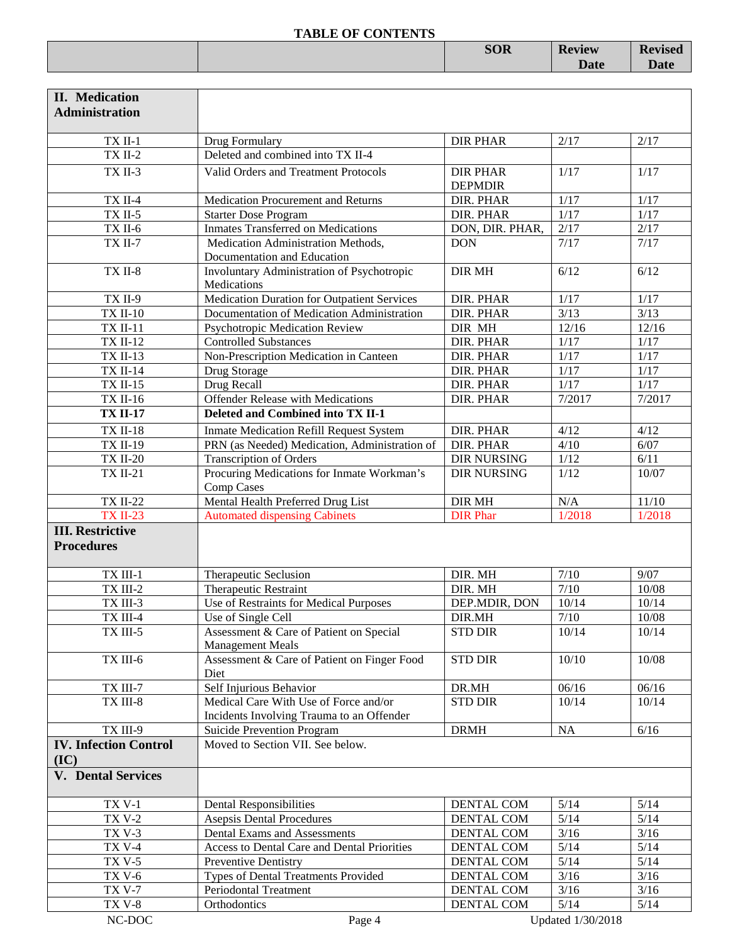|  | <b>SOR</b> | <b>Peview</b> | $\mathbf{P}_{\text{exterior}}$ |
|--|------------|---------------|--------------------------------|
|  |            | Date          |                                |
|  |            |               |                                |

| <b>II.</b> Medication          |                                                                 |                          |                   |                  |
|--------------------------------|-----------------------------------------------------------------|--------------------------|-------------------|------------------|
| <b>Administration</b>          |                                                                 |                          |                   |                  |
|                                |                                                                 | <b>DIR PHAR</b>          | 2/17              | 2/17             |
| $TX$ II-1<br>$TX$ II-2         | Drug Formulary<br>Deleted and combined into TX II-4             |                          |                   |                  |
| TX II-3                        | Valid Orders and Treatment Protocols                            | <b>DIR PHAR</b>          | 1/17              | 1/17             |
|                                |                                                                 | <b>DEPMDIR</b>           |                   |                  |
| <b>TX II-4</b>                 | Medication Procurement and Returns                              | DIR. PHAR                | 1/17              | 1/17             |
| <b>TX II-5</b>                 | <b>Starter Dose Program</b>                                     | DIR. PHAR                | 1/17              | $1/17$           |
| TX II-6                        | Inmates Transferred on Medications                              | DON, DIR. PHAR,          | 2/17              | 2/17             |
| <b>TX II-7</b>                 | Medication Administration Methods,                              | <b>DON</b>               | 7/17              | 7/17             |
|                                | Documentation and Education                                     |                          |                   |                  |
| TX II-8                        | Involuntary Administration of Psychotropic                      | <b>DIR MH</b>            | 6/12              | 6/12             |
|                                | Medications<br>Medication Duration for Outpatient Services      |                          |                   |                  |
| TX II-9<br><b>TX II-10</b>     | Documentation of Medication Administration                      | DIR. PHAR<br>DIR. PHAR   | 1/17<br>$3/13$    | $1/17$<br>3/13   |
| <b>TX II-11</b>                | Psychotropic Medication Review                                  | DIR MH                   | 12/16             | 12/16            |
| <b>TX II-12</b>                | <b>Controlled Substances</b>                                    | DIR. PHAR                | $1/17$            | $1/17$           |
| <b>TX II-13</b>                | Non-Prescription Medication in Canteen                          | DIR. PHAR                | $1/17$            | $1/17$           |
| <b>TX II-14</b>                | Drug Storage                                                    | DIR. PHAR                | $1/17$            | $1/17$           |
| <b>TX II-15</b>                | Drug Recall                                                     | DIR. PHAR                | 1/17              | $1/17$           |
| <b>TX II-16</b>                | <b>Offender Release with Medications</b>                        | DIR. PHAR                | 7/2017            | 7/2017           |
| <b>TX II-17</b>                | Deleted and Combined into TX II-1                               |                          |                   |                  |
| <b>TX II-18</b>                | <b>Inmate Medication Refill Request System</b>                  | DIR. PHAR                | 4/12              | 4/12             |
| <b>TX II-19</b>                | PRN (as Needed) Medication, Administration of                   | DIR. PHAR                | 4/10              | 6/07             |
| <b>TX II-20</b>                | <b>Transcription of Orders</b>                                  | <b>DIR NURSING</b>       | 1/12              | 6/11             |
| <b>TX II-21</b>                | Procuring Medications for Inmate Workman's<br><b>Comp Cases</b> | <b>DIR NURSING</b>       | 1/12              | 10/07            |
| <b>TX II-22</b>                | Mental Health Preferred Drug List                               | <b>DIR MH</b>            | N/A               | $11/10$          |
| <b>TX II-23</b>                | <b>Automated dispensing Cabinets</b>                            | <b>DIR Phar</b>          | 1/2018            | 1/2018           |
| <b>III. Restrictive</b>        |                                                                 |                          |                   |                  |
| <b>Procedures</b>              |                                                                 |                          |                   |                  |
| TX III-1                       | Therapeutic Seclusion                                           | DIR. MH                  | $7/10$            | 9/07             |
| TX III-2                       | Therapeutic Restraint                                           | DIR. MH                  | 7/10              | 10/08            |
| TX III-3                       | Use of Restraints for Medical Purposes                          | DEP.MDIR, DON            | 10/14             | 10/14            |
| TX III-4                       | Use of Single Cell                                              | DIR.MH                   | $7/10$            | 10/08            |
| TX III-5                       | Assessment & Care of Patient on Special                         | <b>STD DIR</b>           | 10/14             | 10/14            |
|                                | <b>Management Meals</b>                                         |                          |                   |                  |
| TX III-6                       | Assessment & Care of Patient on Finger Food<br>Diet             | <b>STD DIR</b>           | 10/10             | 10/08            |
| TX III-7                       | Self Injurious Behavior                                         | DR.MH                    | 06/16             | 06/16            |
| TX III-8                       | Medical Care With Use of Force and/or                           | <b>STD DIR</b>           | 10/14             | 10/14            |
|                                | Incidents Involving Trauma to an Offender                       |                          |                   |                  |
| TX III-9                       | Suicide Prevention Program                                      | <b>DRMH</b>              | <b>NA</b>         | $6/16$           |
| <b>IV. Infection Control</b>   | Moved to Section VII. See below.                                |                          |                   |                  |
| (IC)                           |                                                                 |                          |                   |                  |
| <b>V.</b> Dental Services      |                                                                 |                          |                   |                  |
| <b>TX V-1</b>                  | <b>Dental Responsibilities</b>                                  | DENTAL COM               | 5/14              | 5/14             |
| <b>TX V-2</b>                  | <b>Asepsis Dental Procedures</b>                                | DENTAL COM               | $5/14$            | $5/14$           |
| <b>TX V-3</b>                  | Dental Exams and Assessments                                    | DENTAL COM               | $3/16$            | $3/16$           |
| <b>TX V-4</b>                  | Access to Dental Care and Dental Priorities                     | DENTAL COM               | $5/14$            | $5/14$           |
| <b>TX V-5</b>                  | Preventive Dentistry                                            | DENTAL COM               | $5/14$            | $5/14$           |
| <b>TX V-6</b><br><b>TX V-7</b> | Types of Dental Treatments Provided<br>Periodontal Treatment    | DENTAL COM<br>DENTAL COM | $3/16$<br>$3/16$  | $3/16$<br>$3/16$ |
| <b>TX V-8</b>                  | Orthodontics                                                    | DENTAL COM               | $5/14$            | $5/14$           |
| $\rm NC\text{-}DOC$            | Page 4                                                          |                          | Updated 1/30/2018 |                  |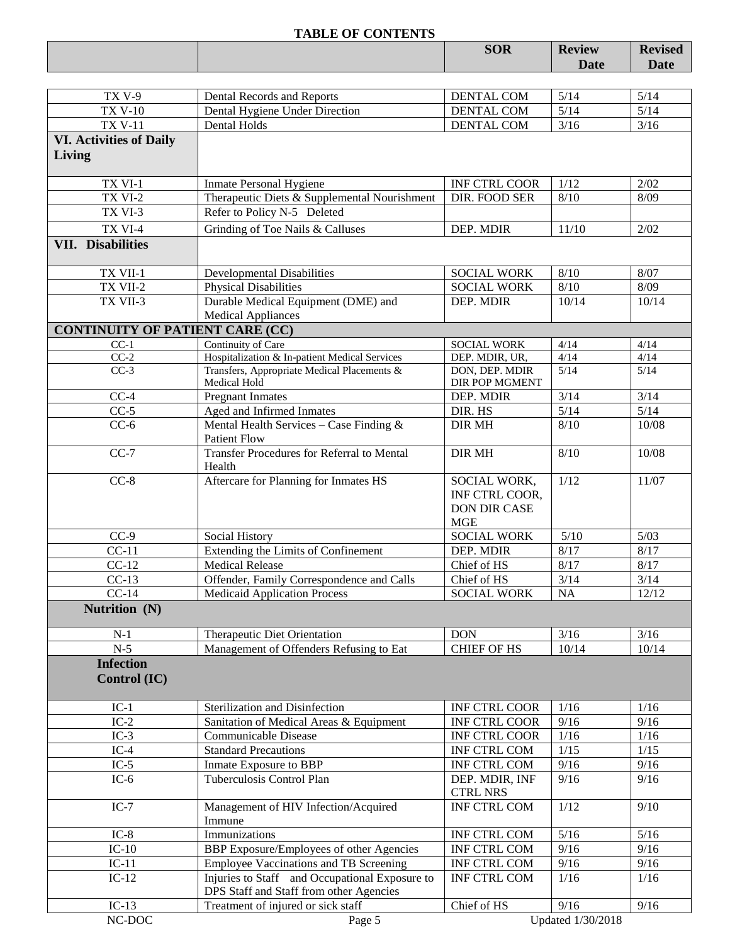|                                          | <b>TABLE OF CONTENTS</b>                                          |                                                                     |                              |                               |
|------------------------------------------|-------------------------------------------------------------------|---------------------------------------------------------------------|------------------------------|-------------------------------|
|                                          |                                                                   | <b>SOR</b>                                                          | <b>Review</b><br><b>Date</b> | <b>Revised</b><br><b>Date</b> |
|                                          |                                                                   |                                                                     |                              |                               |
| TX <sub>V-9</sub>                        | Dental Records and Reports                                        | DENTAL COM                                                          | $5/14$                       | 5/14                          |
| <b>TX V-10</b>                           | Dental Hygiene Under Direction                                    | <b>DENTAL COM</b>                                                   | $\sqrt{5/14}$                | 5/14                          |
| <b>TX V-11</b>                           | <b>Dental Holds</b>                                               | <b>DENTAL COM</b>                                                   | 3/16                         | 3/16                          |
| <b>VI. Activities of Daily</b><br>Living |                                                                   |                                                                     |                              |                               |
| TX VI-1                                  | <b>Inmate Personal Hygiene</b>                                    | INF CTRL COOR                                                       | 1/12                         | 2/02                          |
| TX VI-2                                  | Therapeutic Diets & Supplemental Nourishment                      | DIR. FOOD SER                                                       | 8/10                         | 8/09                          |
| TX VI-3                                  | Refer to Policy N-5 Deleted                                       |                                                                     |                              |                               |
| TX VI-4                                  | Grinding of Toe Nails & Calluses                                  | DEP. MDIR                                                           | 11/10                        | 2/02                          |
| <b>VII. Disabilities</b>                 |                                                                   |                                                                     |                              |                               |
| TX VII-1                                 | <b>Developmental Disabilities</b>                                 | <b>SOCIAL WORK</b>                                                  | 8/10                         | 8/07                          |
| TX VII-2                                 | <b>Physical Disabilities</b>                                      | <b>SOCIAL WORK</b>                                                  | 8/10                         | 8/09                          |
| TX VII-3                                 | Durable Medical Equipment (DME) and                               | DEP. MDIR                                                           | 10/14                        | 10/14                         |
|                                          | <b>Medical Appliances</b>                                         |                                                                     |                              |                               |
| <b>CONTINUITY OF PATIENT CARE (CC)</b>   |                                                                   |                                                                     |                              |                               |
| $CC-1$                                   | Continuity of Care                                                | <b>SOCIAL WORK</b>                                                  | 4/14                         | 4/14                          |
| $CC-2$                                   | Hospitalization & In-patient Medical Services                     | DEP. MDIR, UR,                                                      | 4/14                         | 4/14                          |
| $CC-3$                                   | Transfers, Appropriate Medical Placements &<br>Medical Hold       | DON, DEP. MDIR<br>DIR POP MGMENT                                    | 5/14                         | 5/14                          |
| $CC-4$                                   | <b>Pregnant Inmates</b>                                           | DEP. MDIR                                                           | 3/14                         | 3/14                          |
| $CC-5$                                   | Aged and Infirmed Inmates                                         | DIR. HS                                                             | $\sqrt{5/14}$                | 5/14                          |
| $CC-6$                                   | Mental Health Services - Case Finding $\&$<br><b>Patient Flow</b> | <b>DIR MH</b>                                                       | 8/10                         | 10/08                         |
| $CC-7$                                   | <b>Transfer Procedures for Referral to Mental</b><br>Health       | <b>DIR MH</b>                                                       | 8/10                         | 10/08                         |
| $CC-8$                                   | Aftercare for Planning for Inmates HS                             | SOCIAL WORK,<br>INF CTRL COOR,<br><b>DON DIR CASE</b><br><b>MGE</b> | 1/12                         | 11/07                         |

| $CC-9$                                  | Social History                                 | <b>SOCIAL WORK</b>                | 5/10      | 5/03  |
|-----------------------------------------|------------------------------------------------|-----------------------------------|-----------|-------|
| $CC-11$                                 | Extending the Limits of Confinement            | DEP. MDIR                         | 8/17      | 8/17  |
| $CC-12$                                 | <b>Medical Release</b>                         | Chief of HS                       | 8/17      | 8/17  |
| $CC-13$                                 | Offender, Family Correspondence and Calls      | Chief of HS                       | 3/14      | 3/14  |
| $CC-14$                                 | <b>Medicaid Application Process</b>            | <b>SOCIAL WORK</b>                | <b>NA</b> | 12/12 |
| Nutrition (N)                           |                                                |                                   |           |       |
| $N-1$                                   | Therapeutic Diet Orientation                   | <b>DON</b>                        | 3/16      | 3/16  |
| $N-5$                                   | Management of Offenders Refusing to Eat        | <b>CHIEF OF HS</b>                | 10/14     | 10/14 |
| <b>Infection</b><br><b>Control</b> (IC) |                                                |                                   |           |       |
| $IC-1$                                  | Sterilization and Disinfection                 | <b>INF CTRL COOR</b>              | 1/16      | 1/16  |
| $IC-2$                                  | Sanitation of Medical Areas & Equipment        | <b>INF CTRL COOR</b>              | 9/16      | 9/16  |
| $IC-3$                                  | Communicable Disease                           | <b>INF CTRL COOR</b>              | 1/16      | 1/16  |
| $IC-4$                                  | <b>Standard Precautions</b>                    | <b>INF CTRL COM</b>               | 1/15      | 1/15  |
| $IC-5$                                  | Inmate Exposure to BBP                         | <b>INF CTRL COM</b>               | 9/16      | 9/16  |
| $IC-6$                                  | Tuberculosis Control Plan                      | DEP. MDIR, INF<br><b>CTRL NRS</b> | 9/16      | 9/16  |
| $IC-7$                                  | Management of HIV Infection/Acquired<br>Immune | <b>INF CTRL COM</b>               | 1/12      | 9/10  |
| $IC-8$                                  | Immunizations                                  | <b>INF CTRL COM</b>               | 5/16      | 5/16  |
| $IC-10$                                 | BBP Exposure/Employees of other Agencies       | <b>INF CTRL COM</b>               | 9/16      | 9/16  |
| $IC-11$                                 | Employee Vaccinations and TB Screening         | <b>INF CTRL COM</b>               | 9/16      | 9/16  |
|                                         |                                                |                                   |           |       |

DPS Staff and Staff from other Agencies

IC-13 Treatment of injured or sick staff<br>NC-DOC Page 5 Updated 1/30/2018